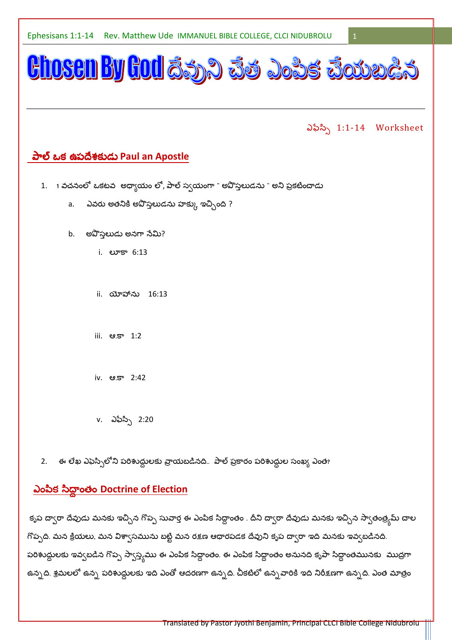

2. ఈ లేఖ ఎఫెస్సిలోని పరిశుద్ధులకు వ్రాయబడినది.. పాల్ ప్రకారం పరిశుద్ధుల సంఖ్య ఎంత?

# <u>ఎంపిక సిద్ధాంతం Doctrine of Election</u>

కృప దా్ారా దేవుడు మనకు ఇచ్చిన గొప్ప సువార్త ఈ ఎంపిక సిద్ధాంతం . దీని దా్సరా దేవుడు మనకు ఇచ్చిన స్వాతంత్ర్మమ్ చాల గొప్పది. మన క్రియలు, మన విశా్సమును బట్టి మన రక్షణ ఆధారపడక దేవుని కృప దా్రా ఇది మనకు ఇవ్వబడినది. పరిశుద్ధులకు ఇవ్వబడిన గొప్ప స్వాస్త్యము ఈ ఎంపిక సిద్ధాంతం. ఈ ఎంపిక సిద్ధాంతం అనునది కృపా సిద్ధాంతమునకు ముద్రగా ఉన్నది. శ్రమలలో ఉన్న పరిశుద్ధులకు ఇది ఎంతో ఆదరణగా ఉన్నది. చీకటిలో ఉన్నవారికి ఇది నిరీక్షణగా ఉన్నది. ఎంత మాత్రం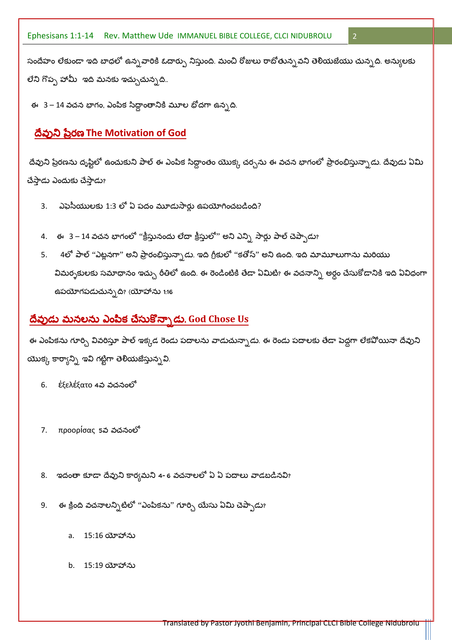సందేహం లేకుండా ఇది బాధలో ఉన్న*వా*రికి ఓదార్పు నిస్తుంది. మంచి రోజులు రాబోతున్నవని తెలియజేయు చున్నది. అన్యులకు లేని గొప్ప హామీ ఇది మనకు ఇచ్చుచున్నది..

 $\overline{2}$ 

ఈ 3 – 14 వచన భాగం, ఎంపిక సిద్ధాంతానికి మూల భోదగా ఉన్నది.

## దేవుని ప్రేరణ The Motivation of God

దేవుని ప్రేరణను దృష్టిలో ఉంచుకుని పాల్ ఈ ఎంపిక సిద్ధాంతం యొక్క చర్చను ఈ వచన భాగంలో ప్రారంభిస్తున్నాడు. దేవుడు ఏమి చేస్తాడు ఎందుకు చేస్తాడు?

- ఎఫెసీయులకు 1:3 లో ఏ పదం మూడుసార్లు ఉపయోగించబడింది?  $3.$
- 4. ఈ 3 14 వచన భాగంలో ''క్రీస్తునందు లేదా క్రీస్తులో'' అని ఎన్ని సార్లు పాల్ చెప్పాడు?
- 4లో పాల్ "ఎట్లనగా" అని ప్రారంభిస్తున్నాడు. ఇది గ్రీకులో "కతోస్" అని ఉంది. ఇది మామూలుగాను మరియు  $5.$ విమర్నకులకు సమాధానం ఇచ్చు రీతిలో ఉంది. ఈ రెండింటికి తేడా ఏమిటి? ఈ వచనాన్ని అర్ధం చేసుకోడానికి ఇది ఏవిధంగా ఉపయోగపడుచున్నది? (యోహాను 1:16

## దేవుడు మనలను ఎంపిక చేసుకొన్నాడు. God Chose Us

ఈ ఎంపికను గూర్చి వివరిస్తూ పాల్ ఇక్కడ రెండు పదాలను వాడుచున్నాడు. ఈ రెండు పదాలకు తేడా పెద్దగా లేకపోయినా దేవుని యొక్క కార్యాన్ని ఇవి గట్టిగా తెలియజేస్తున్నవి.

- ἐξελέξατο 4వ వచనంలో 6.
- προορίσας 5వ వచనంలో  $7.$
- 8. ఇదంతా కూడా దేవుని కార్యమని 4- 6 వచనాలలో ఏ ఏ పదాలు వాడబడినవి?
- ఈ క్రింది వచనాలన్నిటిలో ''ఎంపికను'' గూర్చి యేసు ఏమి చెప్పాడు? 9.
	- 15:16 యోహాను  $a<sub>z</sub>$
	- b. 15:19 యోహాను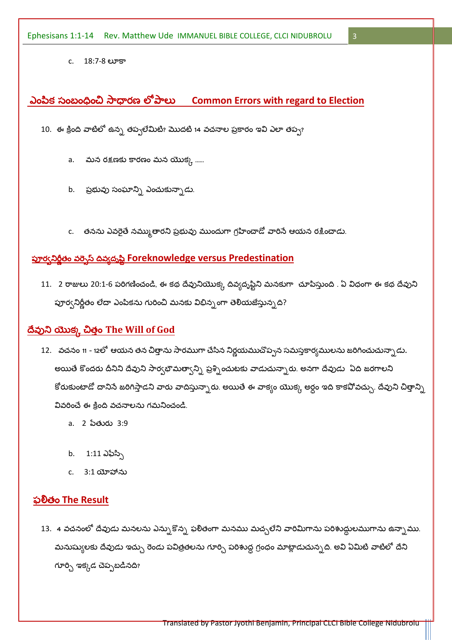c. 18:7-8 లూకా

## ఎంపిక సంబంధించి సాధారణ లోపాలు Common Errors with regard to Election

 $\overline{3}$ 

10. ఈ క్రింది వాటిలో ఉన్న తప్పలేమిటి? మొదటి 14 వచనాల ప్రకారం ఇవి ఎలా తప్ప?

- a. మన రక్షణకు కారణం మన యొక్క ......
- b. ప్రభువు సంఘాన్ని ఎంచుకున్నాడు.
- c. తనను ఎవరైతే నమ్ముతారని ప్రభువు ముందుగా గ్రహించాడో వారిసే ఆయన రక్షించాడు.

# <u> పూర్వనిర్ణీతం వర్నెస్ దివ్యద్భష్టి Foreknowledge versus Predestination</u>

11. 2 రాజులు 20:1-6 పరిగణించండి, ఈ కథ దేవునియొక్క దివ్యదృష్టిని మనకుగా చూపిస్తుంది . ఏ విధంగా ఈ కథ దేవుని పూర్వనిర్లీతం లేదా ఎంపికను గురించి మనకు విభిన్నంగా తెలియజేస్తున్నది?

## దేవుని యొక్క చిత్తం The Will of God

- 12. వచనం 11 12లో ఆయన తన చిత్తాను సారముగా చేసిన నిర్ణయముచొప్పన సమస్తకార్యములను జరిగించుచున్నాడు. అయితే కొందరు దీనిని దేవుని సార్వభౌమత్వాన్ని ప్రశ్నించుటకు వాడుచున్నారు. అనగా దేవుడు ఏది జరగాలని కోరుకుంటాడో దానిసే జరిగిస్తాడని వారు వాదిస్తున్నారు. అయితే ఈ వాక్యం యొక్క అర్ధం ఇది కాకవోవచ్చు. దేవుని చిత్తాన్ని వివరించే ఈ క్రింది వచనాలను గమనించండి.
	- a. 2 పేతురు 3:9
	- b. 1:11 ఎఫేస్సి
	- c. 3:1 యోహాను

### ఫలితం The Result

13. 4 వచనంలో దేవుడు మనలను ఎన్సుకొన్న ఫలితంగా మనము మచ్చలేని వారిమిగాను పరిశుద్ధులముగాను ఉన్నాము. మనుష్యులకు దేవుడు ఇచ్చు రెండు పవిత్రతలను గూర్చి పరిశుద్ధ గ్రంధం మాట్లాడుచున్నది. అవి ఏమిటి వాటిలో దేని గూర్చి ఇక్కడ చెప్పబడినది?